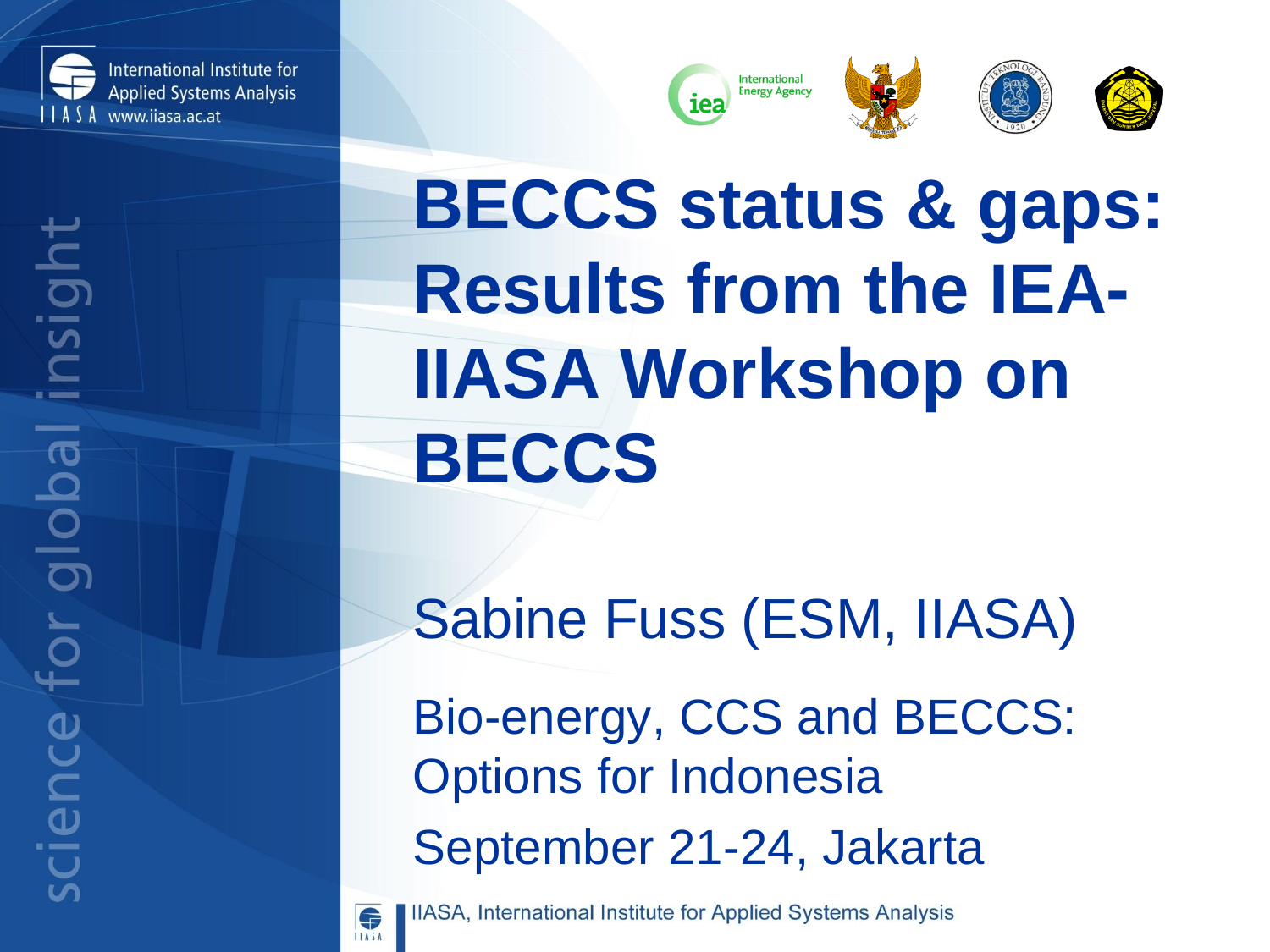



# **BECCS status & gaps: Results from the IEA-IIASA Workshop on BECCS**

Sabine Fuss (ESM, IIASA)

Bio-energy, CCS and BECCS: Options for Indonesia September 21-24, Jakarta



IIASA, International Institute for Applied Systems Analysis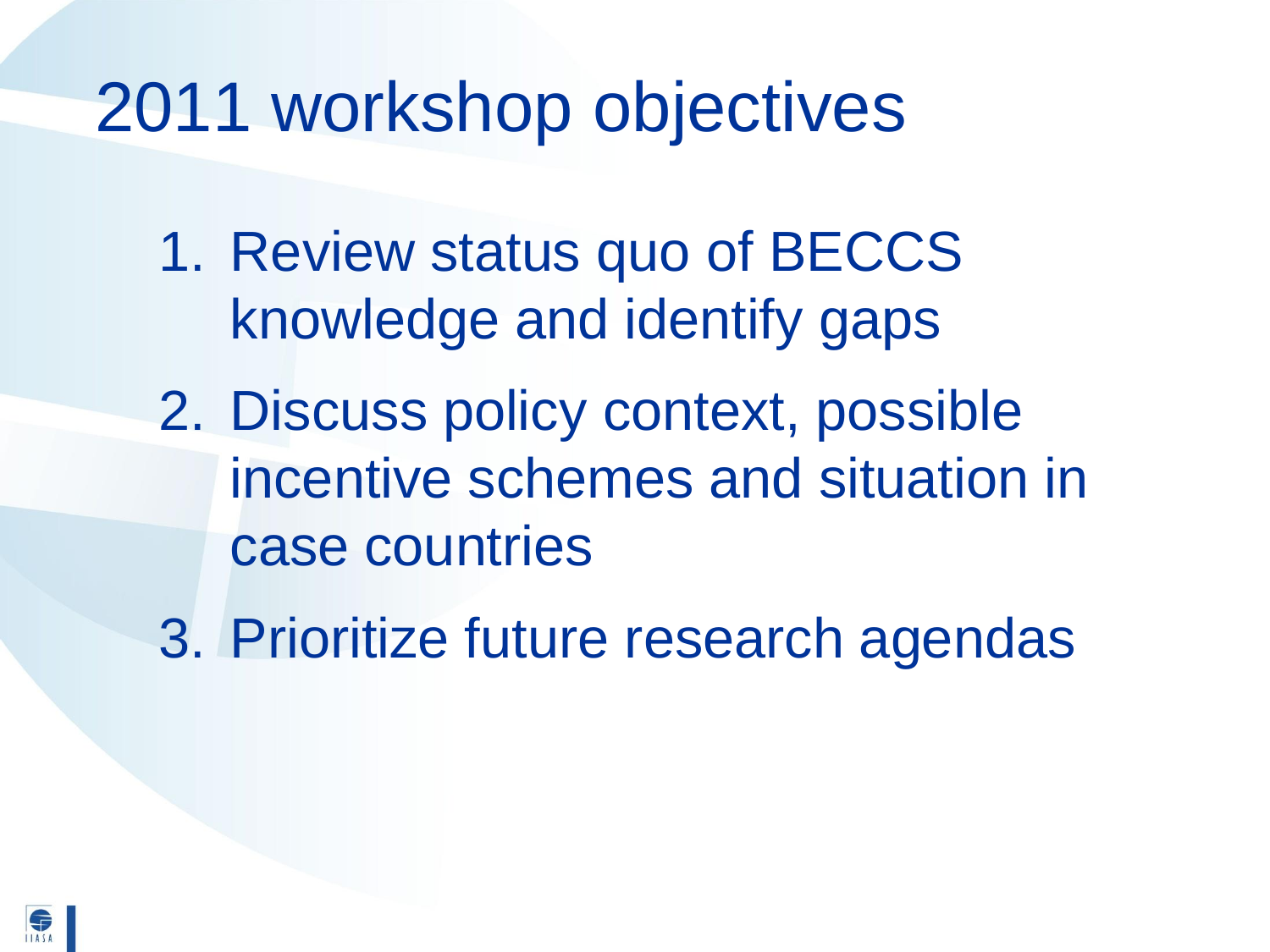### 2011 workshop objectives

- 1. Review status quo of BECCS knowledge and identify gaps
- 2. Discuss policy context, possible incentive schemes and situation in case countries
- 3. Prioritize future research agendas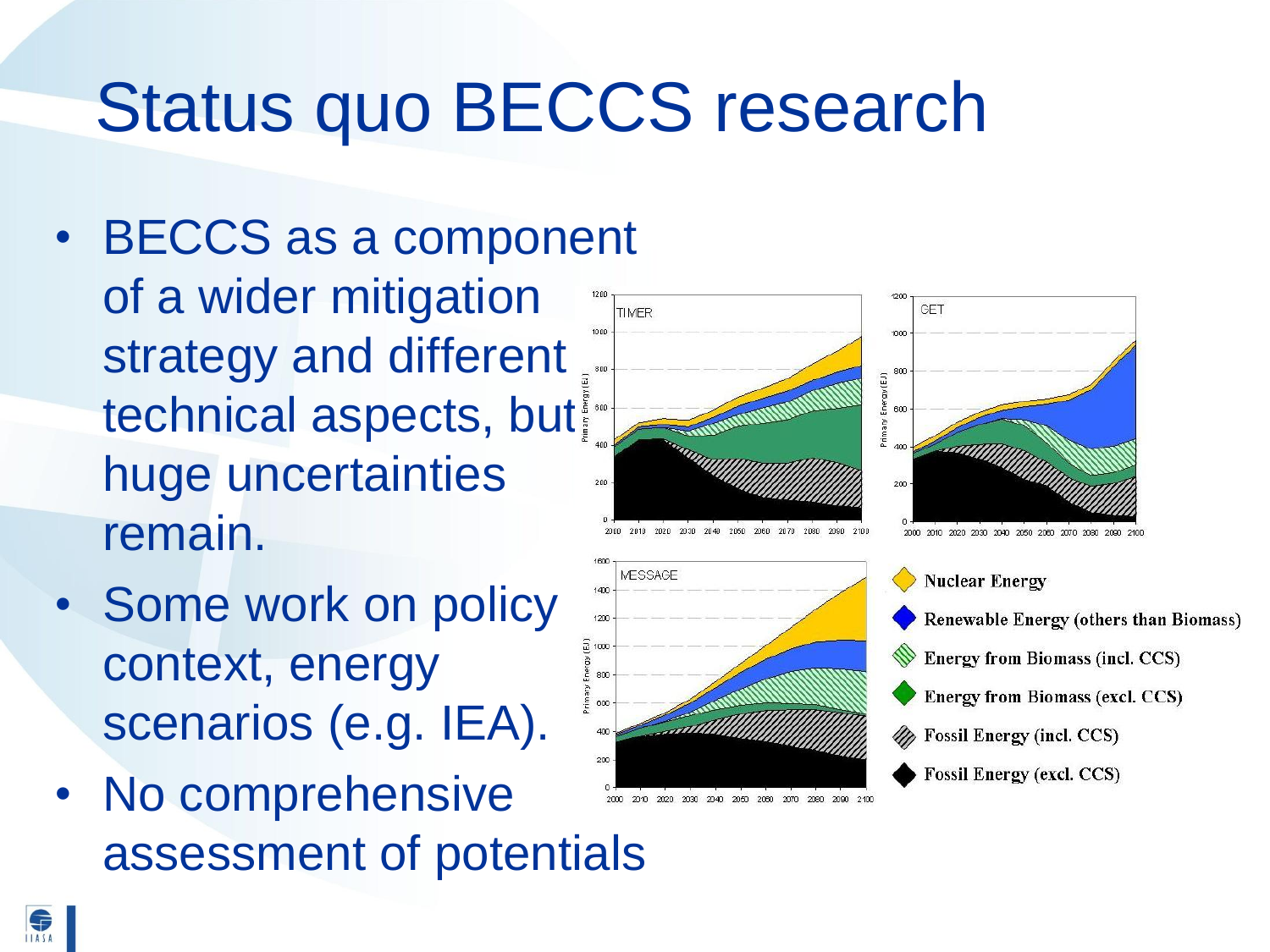## Status quo BECCS research

- BECCS as a component of a wider mitigation 1000 strategy and different technical aspects, but huge uncertainties remain.
- Some work on policy context, energy scenarios (e.g. IEA).
- No comprehensive assessment of potentials

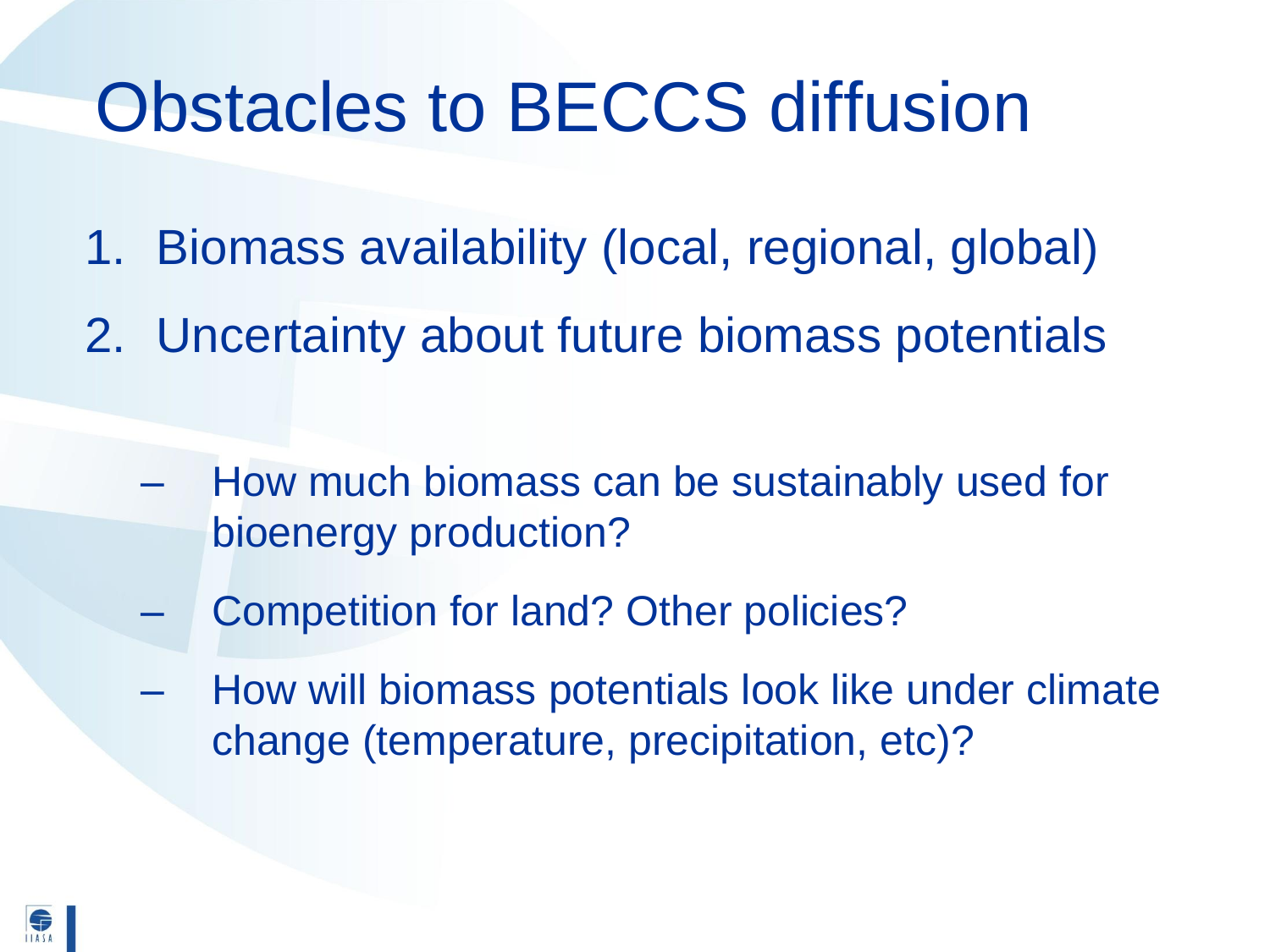- 1. Biomass availability (local, regional, global)
- 2. Uncertainty about future biomass potentials
	- How much biomass can be sustainably used for bioenergy production?
	- Competition for land? Other policies?
	- How will biomass potentials look like under climate change (temperature, precipitation, etc)?

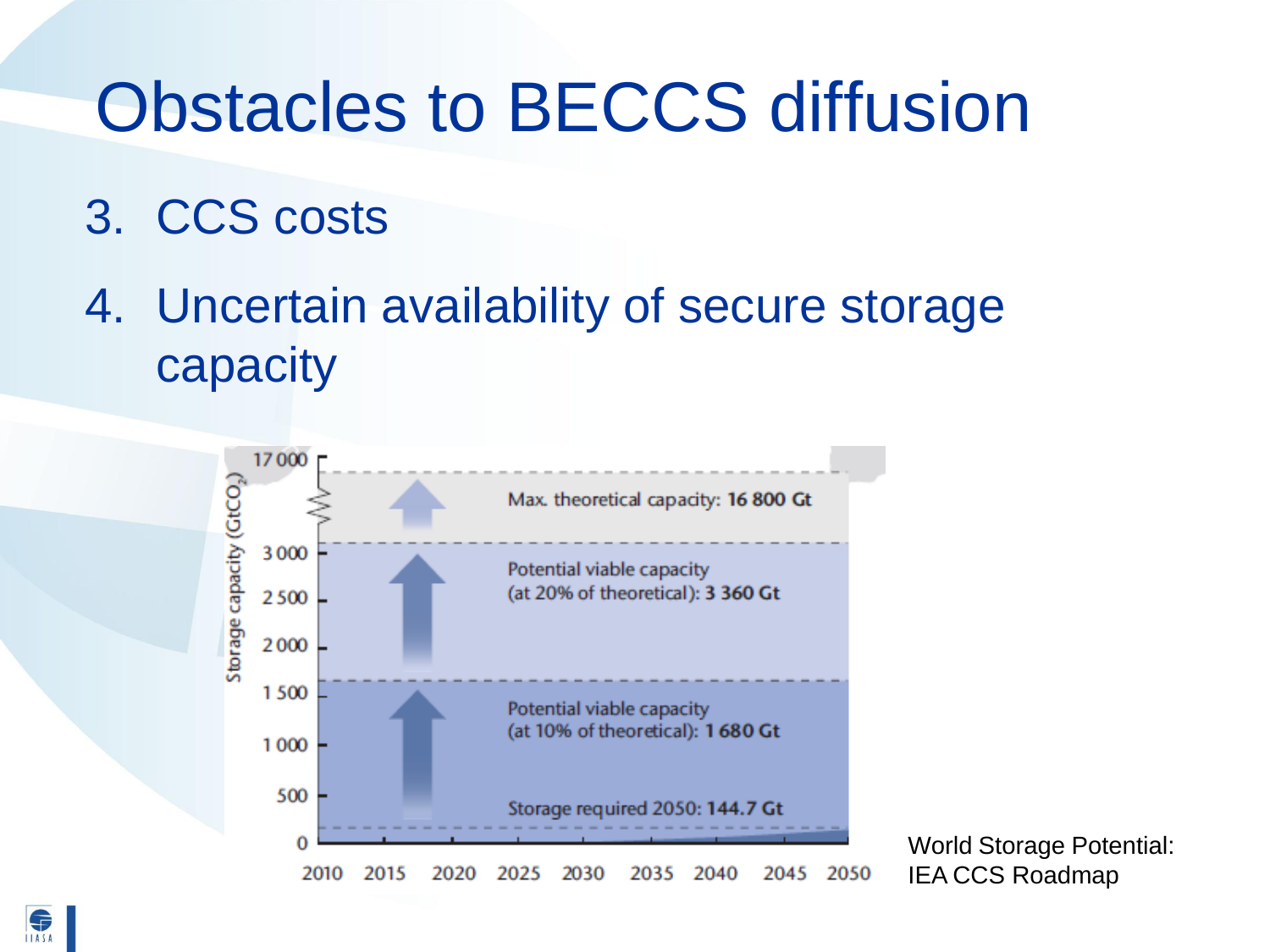- 3. CCS costs
- 4. Uncertain availability of secure storage capacity



World Storage Potential: IEA CCS Roadmap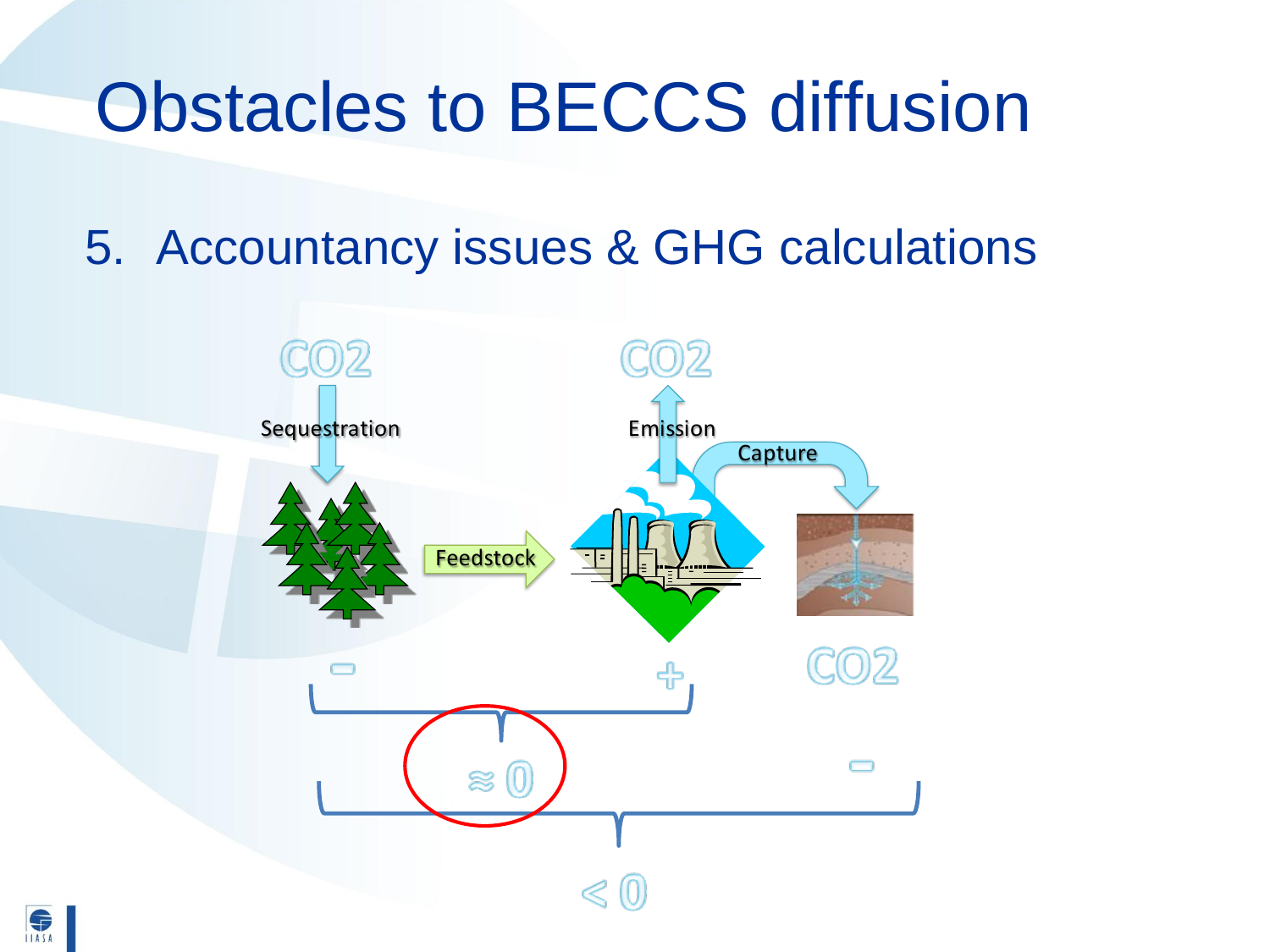5. Accountancy issues & GHG calculations

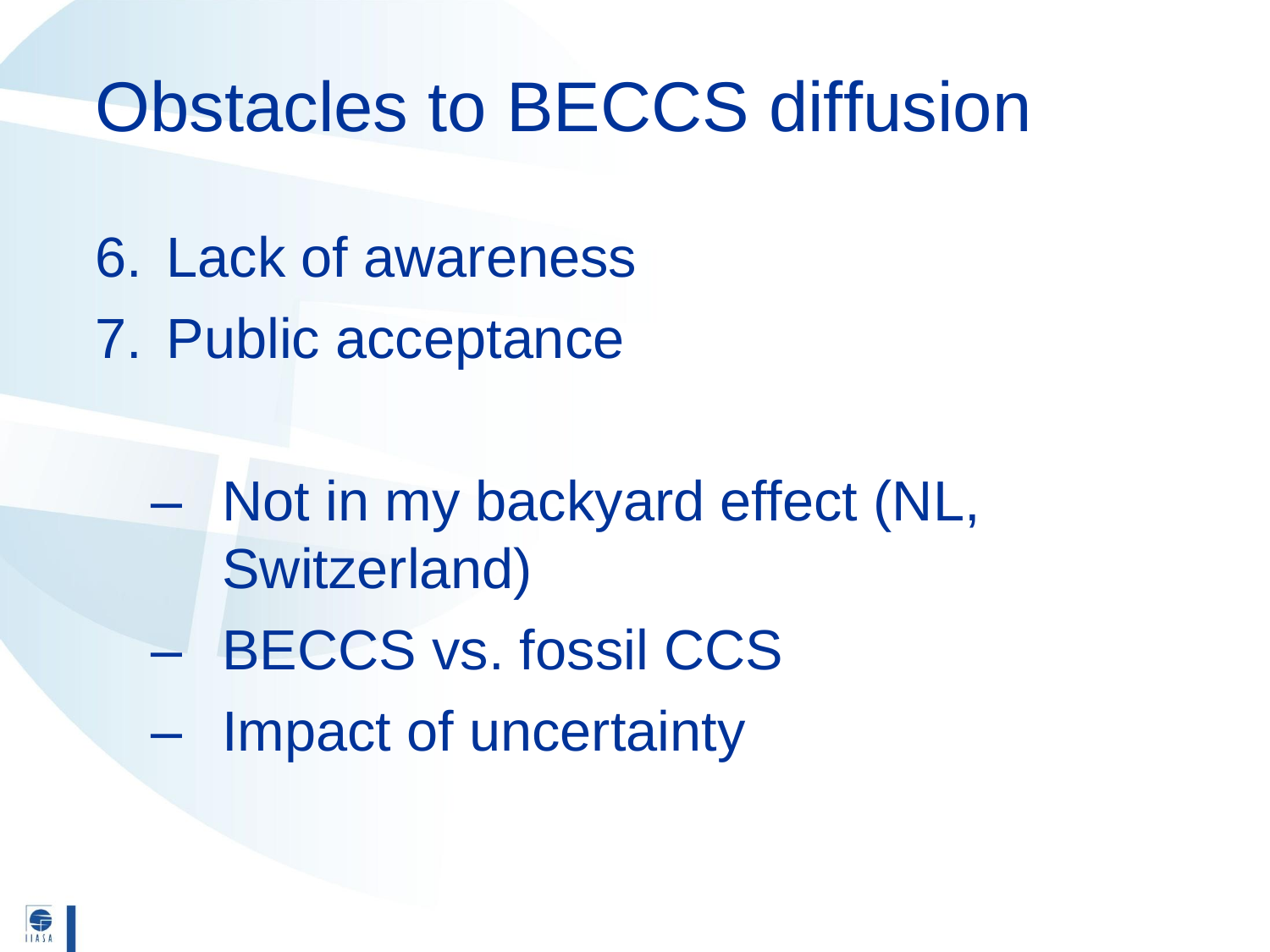- 6. Lack of awareness
- 7. Public acceptance

- Not in my backyard effect (NL, Switzerland) – BECCS vs. fossil CCS
- Impact of uncertainty

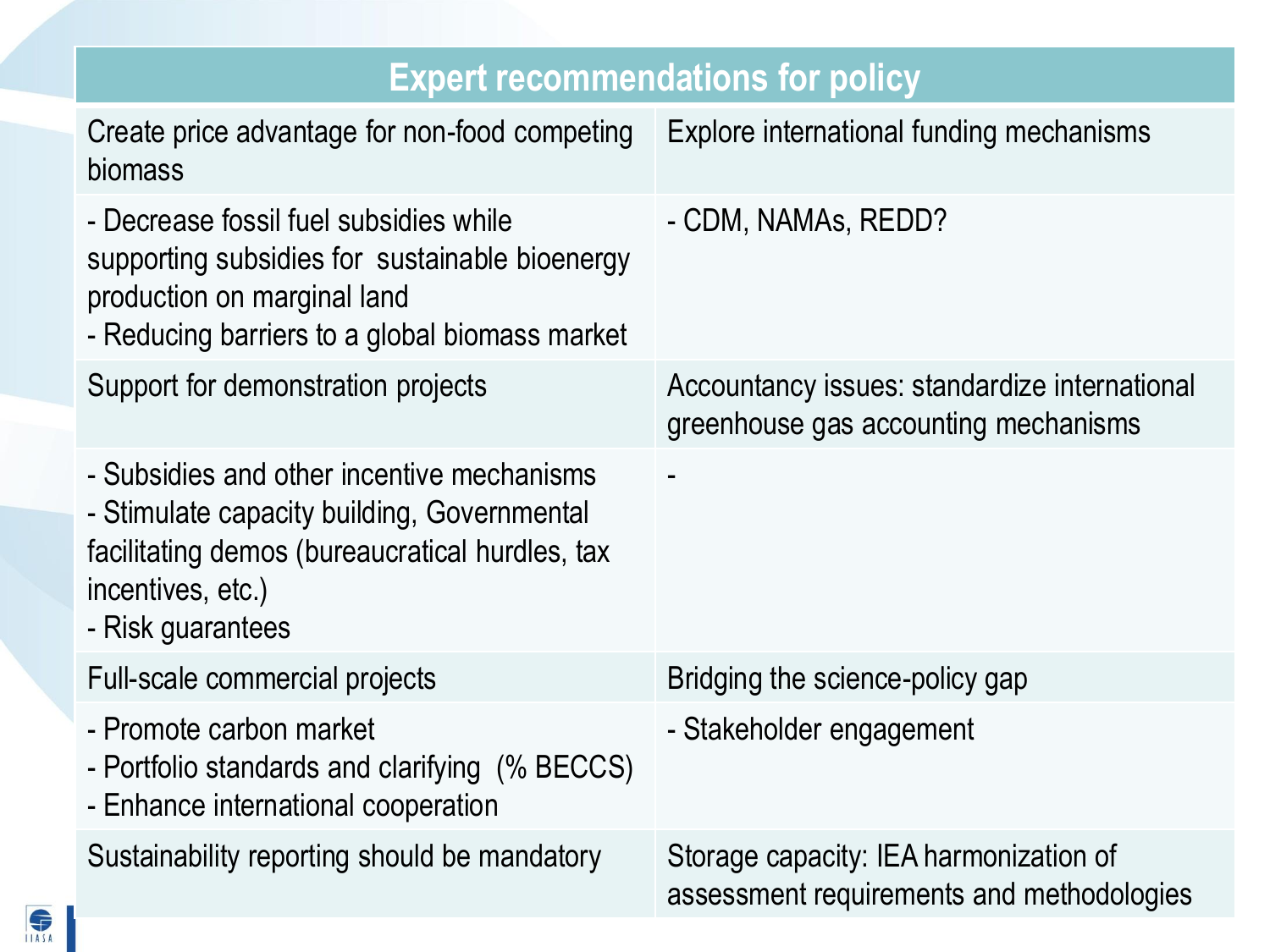| <b>Expert recommendations for policy</b>                                                                                                                                               |                                                                                       |  |
|----------------------------------------------------------------------------------------------------------------------------------------------------------------------------------------|---------------------------------------------------------------------------------------|--|
| Create price advantage for non-food competing<br>biomass                                                                                                                               | Explore international funding mechanisms                                              |  |
| - Decrease fossil fuel subsidies while<br>supporting subsidies for sustainable bioenergy<br>production on marginal land<br>- Reducing barriers to a global biomass market              | - CDM, NAMAs, REDD?                                                                   |  |
| Support for demonstration projects                                                                                                                                                     | Accountancy issues: standardize international<br>greenhouse gas accounting mechanisms |  |
| - Subsidies and other incentive mechanisms<br>- Stimulate capacity building, Governmental<br>facilitating demos (bureaucratical hurdles, tax<br>incentives, etc.)<br>- Risk guarantees |                                                                                       |  |
| Full-scale commercial projects                                                                                                                                                         | Bridging the science-policy gap                                                       |  |
| - Promote carbon market<br>- Portfolio standards and clarifying (% BECCS)<br>- Enhance international cooperation                                                                       | - Stakeholder engagement                                                              |  |
| Sustainability reporting should be mandatory                                                                                                                                           | Storage capacity: IEA harmonization of<br>assessment requirements and methodologies   |  |

S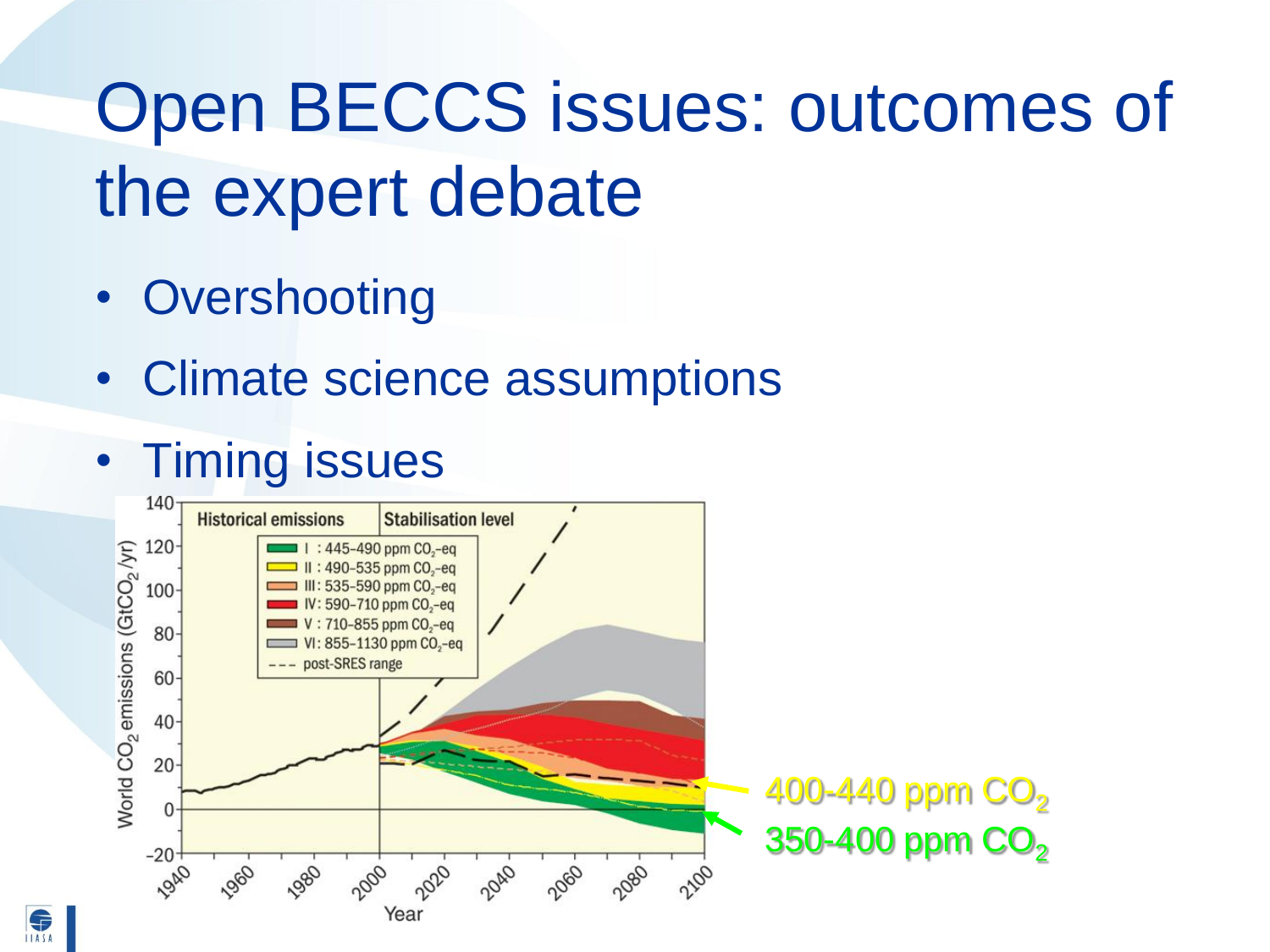# Open BECCS issues: outcomes of the expert debate

- **Overshooting**
- Climate science assumptions

#### • Timing issues

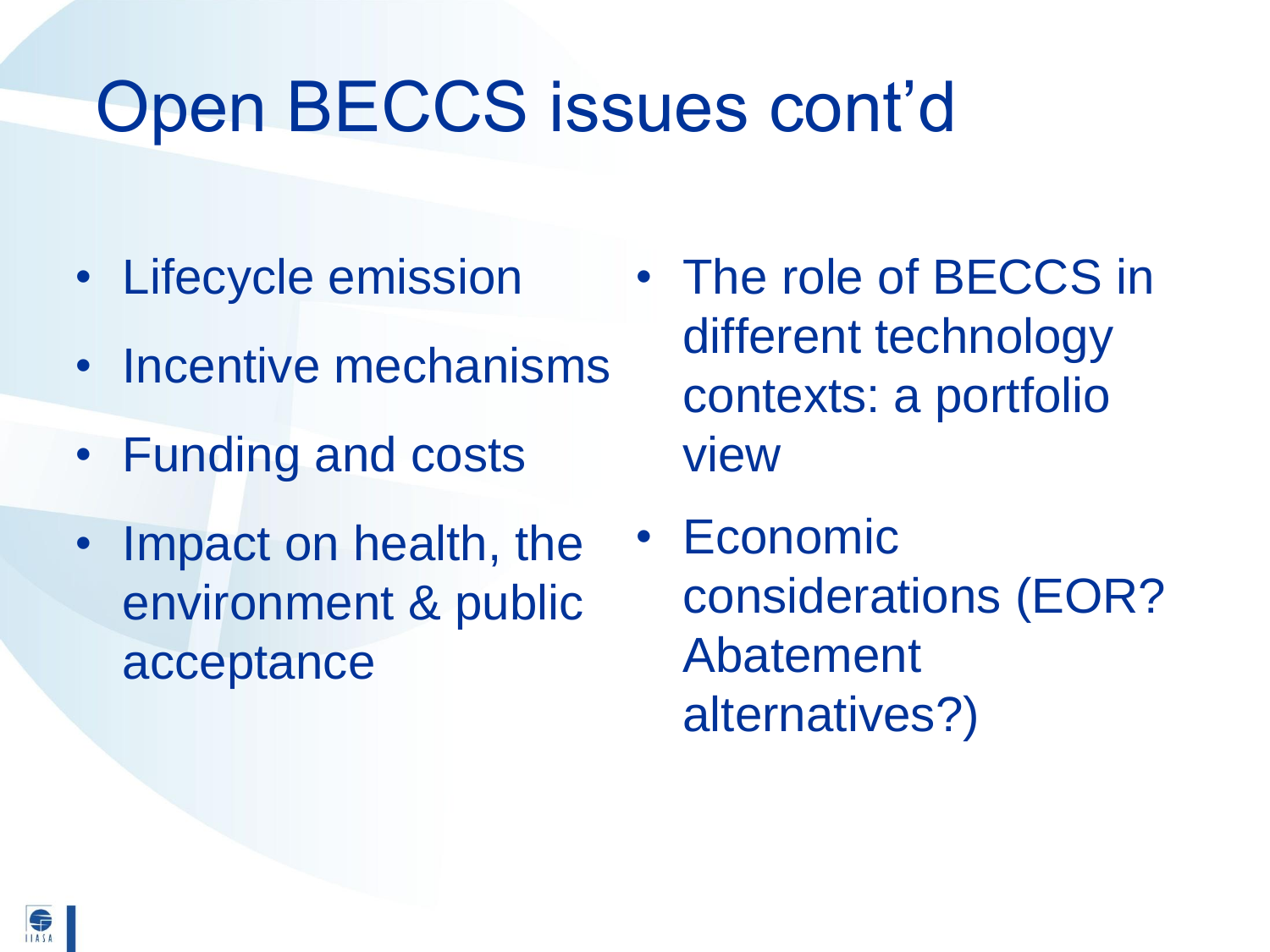## Open BECCS issues cont'd

- Lifecycle emission
- Incentive mechanisms
- Funding and costs
- Impact on health, the environment & public acceptance
- The role of BECCS in different technology contexts: a portfolio view
- **Economic** considerations (EOR? Abatement alternatives?)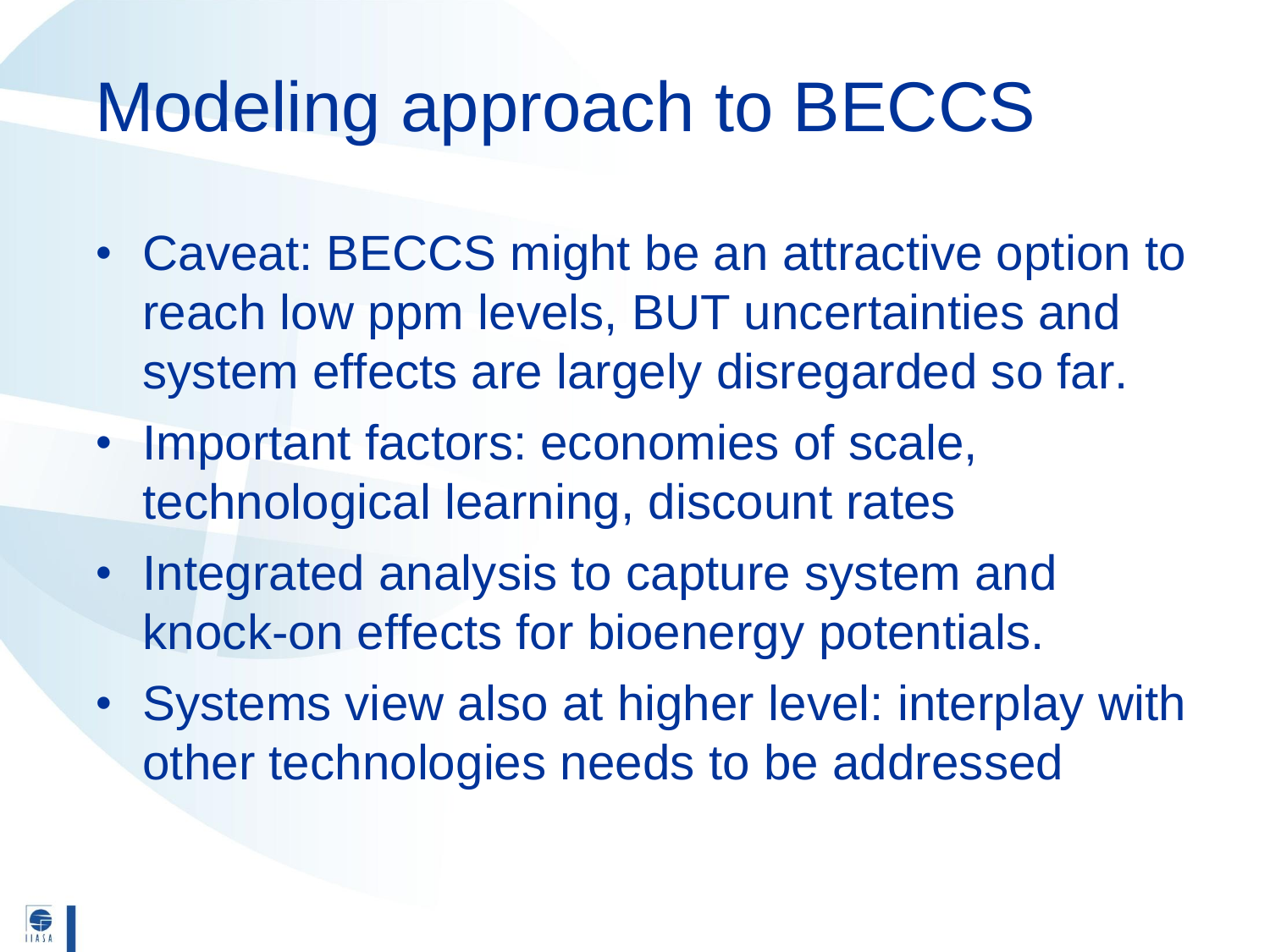## Modeling approach to BECCS

- Caveat: BECCS might be an attractive option to reach low ppm levels, BUT uncertainties and system effects are largely disregarded so far.
- Important factors: economies of scale, technological learning, discount rates
- Integrated analysis to capture system and knock-on effects for bioenergy potentials.
- Systems view also at higher level: interplay with other technologies needs to be addressed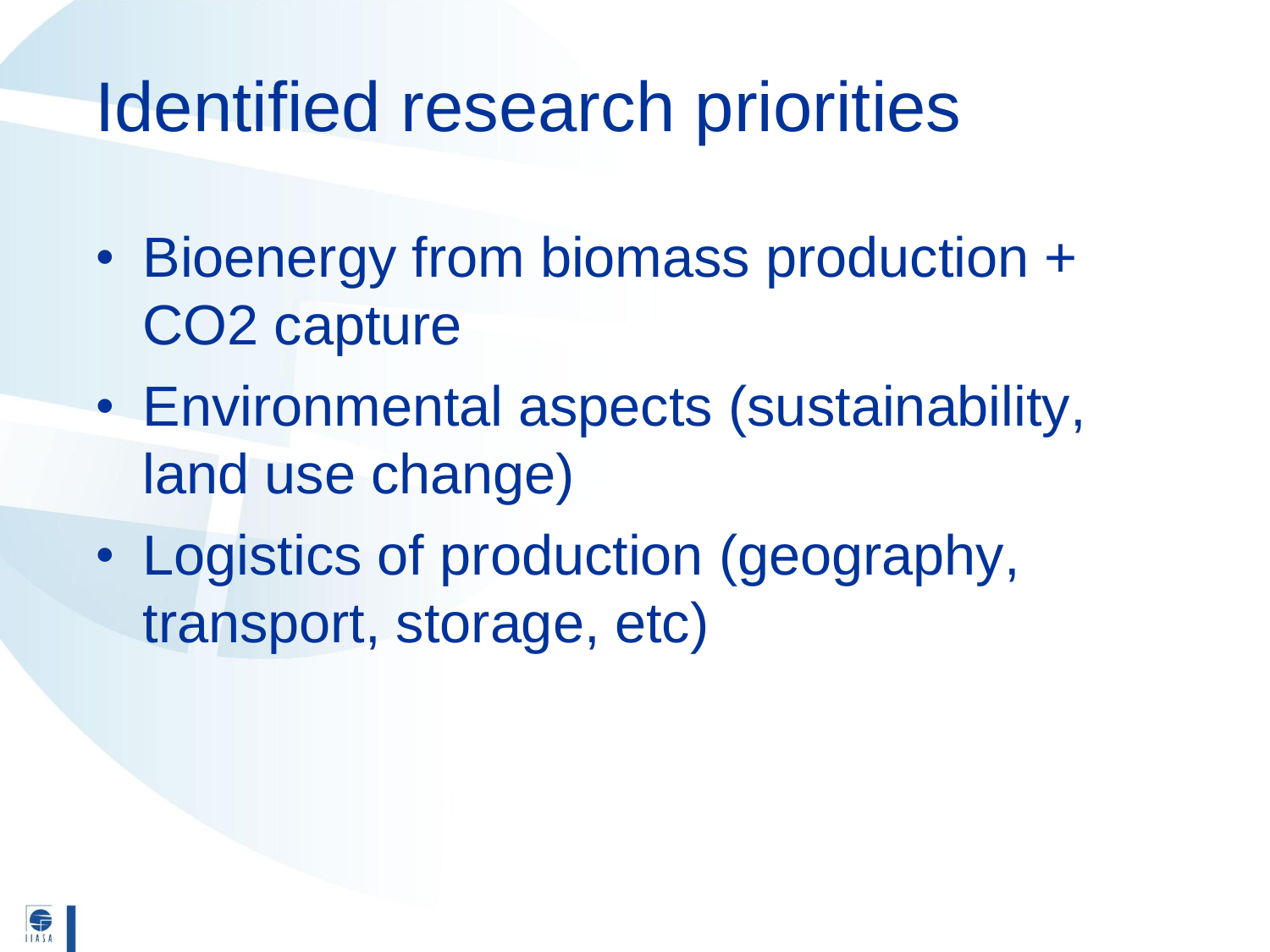### Identified research priorities

- Bioenergy from biomass production + CO2 capture
- Environmental aspects (sustainability, land use change)
- Logistics of production (geography, transport, storage, etc)

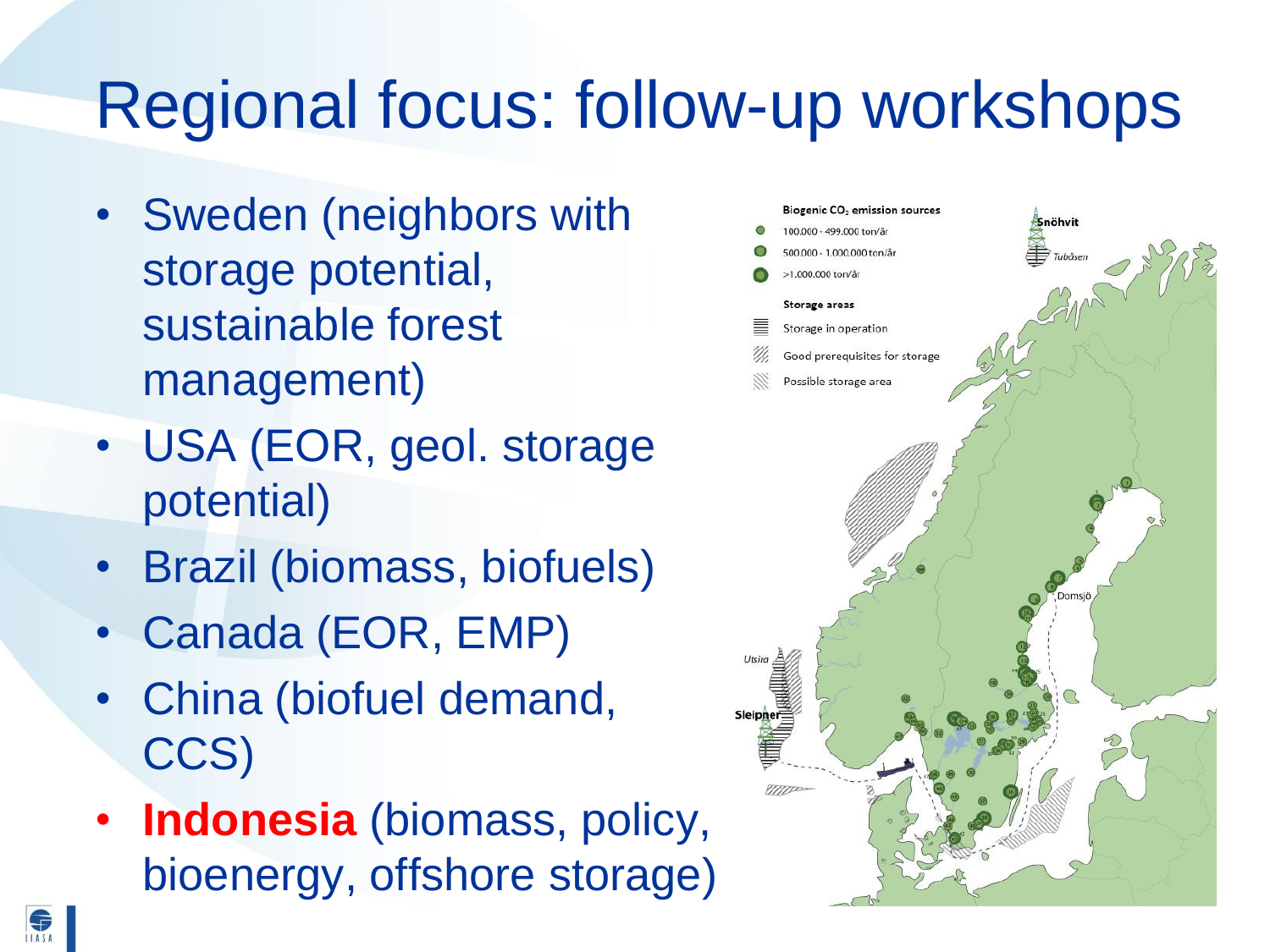## Regional focus: follow-up workshops

- Sweden (neighbors with storage potential, sustainable forest management)
- USA (EOR, geol. storage potential)
- Brazil (biomass, biofuels)
- Canada (EOR, EMP)
- China (biofuel demand, CCS)
- **Indonesia** (biomass, policy, bioenergy, offshore storage)

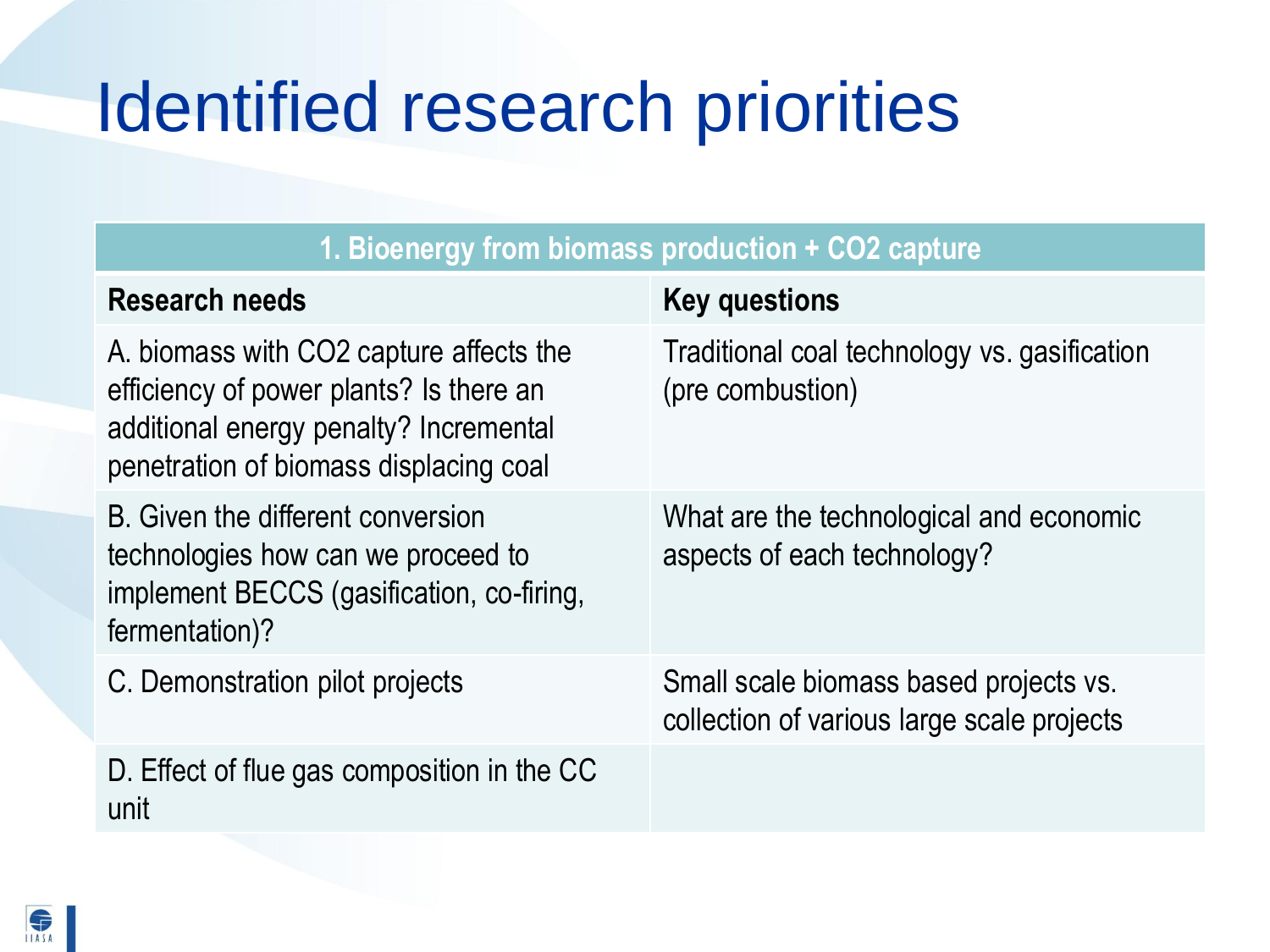## Identified research priorities

| 1. Bioenergy from biomass production + CO2 capture                                                                                                                     |                                                                                      |  |
|------------------------------------------------------------------------------------------------------------------------------------------------------------------------|--------------------------------------------------------------------------------------|--|
| <b>Research needs</b>                                                                                                                                                  | <b>Key questions</b>                                                                 |  |
| A. biomass with CO2 capture affects the<br>efficiency of power plants? Is there an<br>additional energy penalty? Incremental<br>penetration of biomass displacing coal | Traditional coal technology vs. gasification<br>(pre combustion)                     |  |
| B. Given the different conversion<br>technologies how can we proceed to<br>implement BECCS (gasification, co-firing,<br>fermentation)?                                 | What are the technological and economic<br>aspects of each technology?               |  |
| C. Demonstration pilot projects                                                                                                                                        | Small scale biomass based projects vs.<br>collection of various large scale projects |  |
| D. Effect of flue gas composition in the CC<br>unit                                                                                                                    |                                                                                      |  |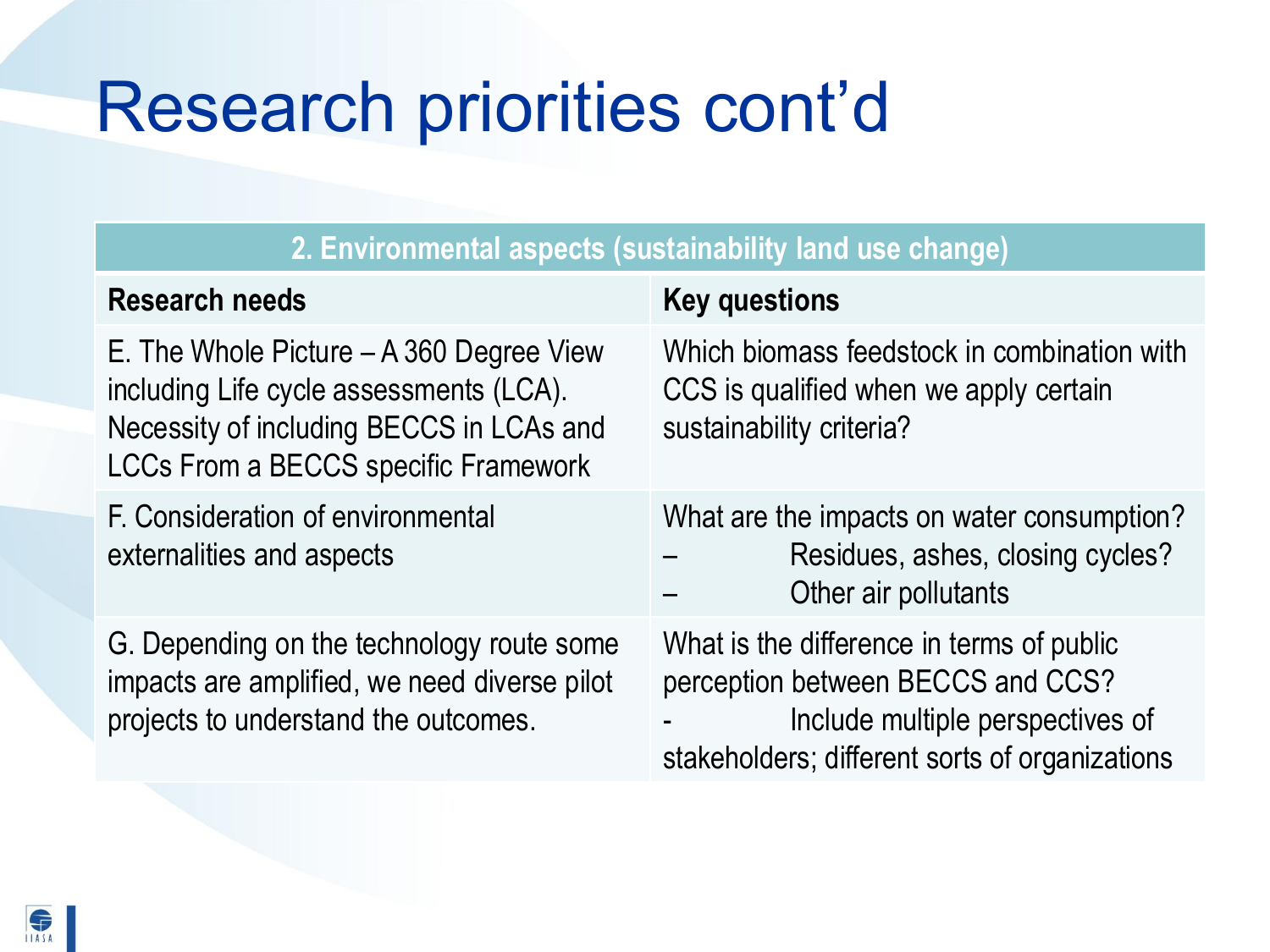# Research priorities cont'd

| 2. Environmental aspects (sustainability land use change)                                                                                                                        |                                                                                                                                                                      |  |
|----------------------------------------------------------------------------------------------------------------------------------------------------------------------------------|----------------------------------------------------------------------------------------------------------------------------------------------------------------------|--|
| <b>Research needs</b>                                                                                                                                                            | <b>Key questions</b>                                                                                                                                                 |  |
| E. The Whole Picture $- A 360$ Degree View<br>including Life cycle assessments (LCA).<br>Necessity of including BECCS in LCAs and<br><b>LCCs From a BECCS specific Framework</b> | Which biomass feedstock in combination with<br>CCS is qualified when we apply certain<br>sustainability criteria?                                                    |  |
| F. Consideration of environmental<br>externalities and aspects                                                                                                                   | What are the impacts on water consumption?<br>Residues, ashes, closing cycles?<br>Other air pollutants                                                               |  |
| G. Depending on the technology route some<br>impacts are amplified, we need diverse pilot<br>projects to understand the outcomes.                                                | What is the difference in terms of public<br>perception between BECCS and CCS?<br>Include multiple perspectives of<br>stakeholders; different sorts of organizations |  |